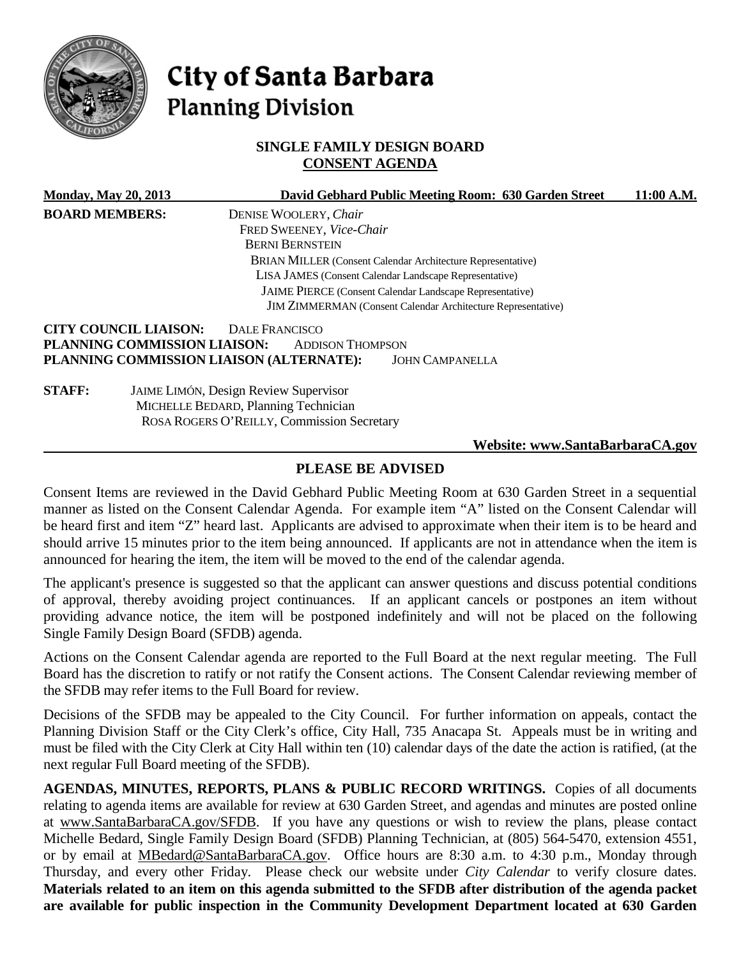

# City of Santa Barbara **Planning Division**

## **SINGLE FAMILY DESIGN BOARD CONSENT AGENDA**

| <b>Monday, May 20, 2013</b> |                              | David Gebhard Public Meeting Room: 630 Garden Street                | 11:00 A.M. |
|-----------------------------|------------------------------|---------------------------------------------------------------------|------------|
| <b>BOARD MEMBERS:</b>       |                              | DENISE WOOLERY, Chair                                               |            |
|                             |                              | FRED SWEENEY, Vice-Chair                                            |            |
|                             |                              | <b>BERNI BERNSTEIN</b>                                              |            |
|                             |                              | <b>BRIAN MILLER (Consent Calendar Architecture Representative)</b>  |            |
|                             |                              | LISA JAMES (Consent Calendar Landscape Representative)              |            |
|                             |                              | <b>JAIME PIERCE</b> (Consent Calendar Landscape Representative)     |            |
|                             |                              | <b>JIM ZIMMERMAN</b> (Consent Calendar Architecture Representative) |            |
|                             | <b>CITY COUNCIL LIAISON:</b> | DALE FRANCISCO                                                      |            |
|                             | PLANNING COMMISSION LIAISON: | <b>ADDISON THOMPSON</b>                                             |            |
|                             |                              | PLANNING COMMISSION LIAISON (ALTERNATE):<br><b>JOHN CAMPANELLA</b>  |            |
| <b>STAFF:</b>               |                              | <b>JAIME LIMÓN, Design Review Supervisor</b>                        |            |
|                             |                              | MICHELLE BEDARD, Planning Technician                                |            |
|                             |                              | ROSA ROGERS O'REILLY, Commission Secretary                          |            |
|                             |                              | Website: www.SantaBarbaraCA.gov                                     |            |

# **PLEASE BE ADVISED**

Consent Items are reviewed in the David Gebhard Public Meeting Room at 630 Garden Street in a sequential manner as listed on the Consent Calendar Agenda. For example item "A" listed on the Consent Calendar will be heard first and item "Z" heard last. Applicants are advised to approximate when their item is to be heard and should arrive 15 minutes prior to the item being announced. If applicants are not in attendance when the item is announced for hearing the item, the item will be moved to the end of the calendar agenda.

The applicant's presence is suggested so that the applicant can answer questions and discuss potential conditions of approval, thereby avoiding project continuances. If an applicant cancels or postpones an item without providing advance notice, the item will be postponed indefinitely and will not be placed on the following Single Family Design Board (SFDB) agenda.

Actions on the Consent Calendar agenda are reported to the Full Board at the next regular meeting. The Full Board has the discretion to ratify or not ratify the Consent actions. The Consent Calendar reviewing member of the SFDB may refer items to the Full Board for review.

Decisions of the SFDB may be appealed to the City Council. For further information on appeals, contact the Planning Division Staff or the City Clerk's office, City Hall, 735 Anacapa St. Appeals must be in writing and must be filed with the City Clerk at City Hall within ten (10) calendar days of the date the action is ratified, (at the next regular Full Board meeting of the SFDB).

**AGENDAS, MINUTES, REPORTS, PLANS & PUBLIC RECORD WRITINGS.** Copies of all documents relating to agenda items are available for review at 630 Garden Street, and agendas and minutes are posted online at [www.SantaBarbaraCA.gov/SFDB.](http://www.santabarbaraca.gov/ABR) If you have any questions or wish to review the plans, please contact Michelle Bedard, Single Family Design Board (SFDB) Planning Technician, at (805) 564-5470, extension 4551, or by email at [MBedard@SantaBarbaraCA.gov.](mailto:MBedard@SantaBarbaraCA.gov) Office hours are 8:30 a.m. to 4:30 p.m., Monday through Thursday, and every other Friday. Please check our website under *City Calendar* to verify closure dates. **Materials related to an item on this agenda submitted to the SFDB after distribution of the agenda packet are available for public inspection in the Community Development Department located at 630 Garden**